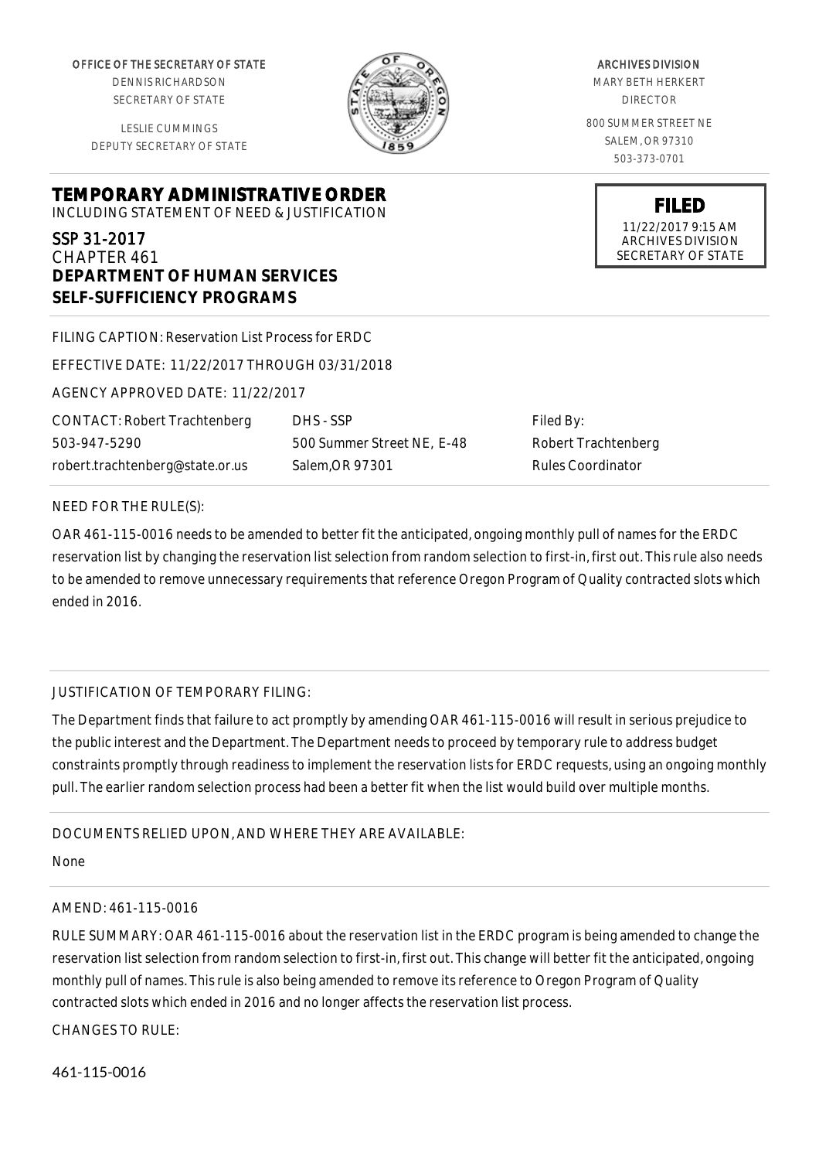OFFICE OF THE SECRETARY OF STATE

DENNIS RICHARDSON SECRETARY OF STATE

LESLIE CUMMINGS DEPUTY SECRETARY OF STATE

**TEMPORARY ADMINISTRATIVE ORDER**

INCLUDING STATEMENT OF NEED & JUSTIFICATION

#### SSP 31-2017 CHAPTER 461

**DEPARTMENT OF HUMAN SERVICES SELF-SUFFICIENCY PROGRAMS**

| FILING CAPTION: Reservation List Process for ERDC |                            |
|---------------------------------------------------|----------------------------|
| EFFECTIVE DATE: 11/22/2017 THROUGH 03/31/2018     |                            |
| AGENCY APPROVED DATE: 11/22/2017                  |                            |
| <b>CONTACT: Robert Trachtenberg</b>               | DHS - SSP                  |
| 503-947-5290                                      | 500 Summer Street NE, E-48 |
| robert.trachtenberg@state.or.us                   | Salem.OR 97301             |
|                                                   |                            |

# Filed By: Robert Trachtenberg Rules Coordinator

### NEED FOR THE RULE(S):

OAR 461-115-0016 needs to be amended to better fit the anticipated, ongoing monthly pull of names for the ERDC reservation list by changing the reservation list selection from random selection to first-in, first out. This rule also needs to be amended to remove unnecessary requirements that reference Oregon Program of Quality contracted slots which ended in 2016.

## JUSTIFICATION OF TEMPORARY FILING:

The Department finds that failure to act promptly by amending OAR 461-115-0016 will result in serious prejudice to the public interest and the Department. The Department needs to proceed by temporary rule to address budget constraints promptly through readiness to implement the reservation lists for ERDC requests, using an ongoing monthly pull. The earlier random selection process had been a better fit when the list would build over multiple months.

### DOCUMENTS RELIED UPON, AND WHERE THEY ARE AVAILABLE:

None

### AMEND: 461-115-0016

RULE SUMMARY: OAR 461-115-0016 about the reservation list in the ERDC program is being amended to change the reservation list selection from random selection to first-in, first out. This change will better fit the anticipated, ongoing monthly pull of names. This rule is also being amended to remove its reference to Oregon Program of Quality contracted slots which ended in 2016 and no longer affects the reservation list process.

CHANGES TO RULE:

461-115-0016



### ARCHIVES DIVISION MARY BETH HERKERT DIRECTOR 800 SUMMER STREET NE SALEM, OR 97310 503-373-0701

**FILED** 11/22/2017 9:15 AM ARCHIVES DIVISION SECRETARY OF STATE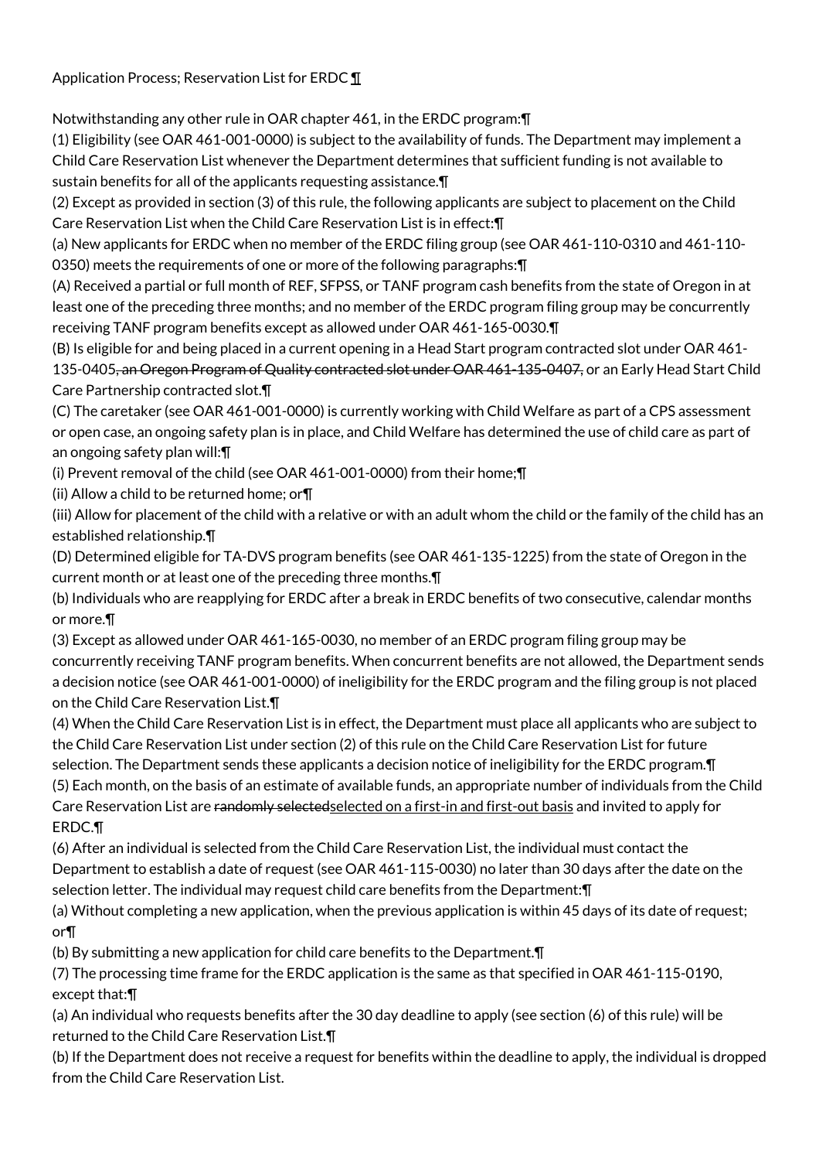Application Process; Reservation List for ERDC ¶

Notwithstanding any other rule in OAR chapter 461, in the ERDC program:¶

(1) Eligibility (see OAR 461-001-0000) is subject to the availability of funds. The Department may implement a Child Care Reservation List whenever the Department determines that sufficient funding is not available to sustain benefits for all of the applicants requesting assistance.¶

(2) Except as provided in section (3) of this rule, the following applicants are subject to placement on the Child Care Reservation List when the Child Care Reservation List is in effect:¶

(a) New applicants for ERDC when no member of the ERDC filing group (see OAR 461-110-0310 and 461-110- 0350) meets the requirements of one or more of the following paragraphs:¶

(A) Received a partial or full month of REF, SFPSS, or TANF program cash benefits from the state of Oregon in at least one of the preceding three months; and no member of the ERDC program filing group may be concurrently receiving TANF program benefits except as allowed under OAR 461-165-0030.¶

(B) Is eligible for and being placed in a current opening in a Head Start program contracted slot under OAR 461- 135-0405, an Oregon Program of Quality contracted slot under OAR 461-135-0407, or an Early Head Start Child Care Partnership contracted slot.¶

(C) The caretaker (see OAR 461-001-0000) is currently working with Child Welfare as part of a CPS assessment or open case, an ongoing safety plan is in place, and Child Welfare has determined the use of child care as part of an ongoing safety plan will:¶

(i) Prevent removal of the child (see OAR 461-001-0000) from their home;¶

(ii) Allow a child to be returned home; or¶

(iii) Allow for placement of the child with a relative or with an adult whom the child or the family of the child has an established relationship.¶

(D) Determined eligible for TA-DVS program benefits (see OAR 461-135-1225) from the state of Oregon in the current month or at least one of the preceding three months.¶

(b) Individuals who are reapplying for ERDC after a break in ERDC benefits of two consecutive, calendar months or more.¶

(3) Except as allowed under OAR 461-165-0030, no member of an ERDC program filing group may be concurrently receiving TANF program benefits. When concurrent benefits are not allowed, the Department sends a decision notice (see OAR 461-001-0000) of ineligibility for the ERDC program and the filing group is not placed on the Child Care Reservation List.¶

(4) When the Child Care Reservation List is in effect, the Department must place all applicants who are subject to the Child Care Reservation List under section (2) of this rule on the Child Care Reservation List for future

selection. The Department sends these applicants a decision notice of ineligibility for the ERDC program.¶ (5) Each month, on the basis of an estimate of available funds, an appropriate number of individuals from the Child Care Reservation List are randomly selectedselected on a first-in and first-out basis and invited to apply for ERDC.¶

(6) After an individual is selected from the Child Care Reservation List, the individual must contact the Department to establish a date of request (see OAR 461-115-0030) no later than 30 days after the date on the selection letter. The individual may request child care benefits from the Department:¶

(a) Without completing a new application, when the previous application is within 45 days of its date of request; or¶

(b) By submitting a new application for child care benefits to the Department.¶

(7) The processing time frame for the ERDC application is the same as that specified in OAR 461-115-0190, except that:¶

(a) An individual who requests benefits after the 30 day deadline to apply (see section (6) of this rule) will be returned to the Child Care Reservation List.¶

(b) If the Department does not receive a request for benefits within the deadline to apply, the individual is dropped from the Child Care Reservation List.